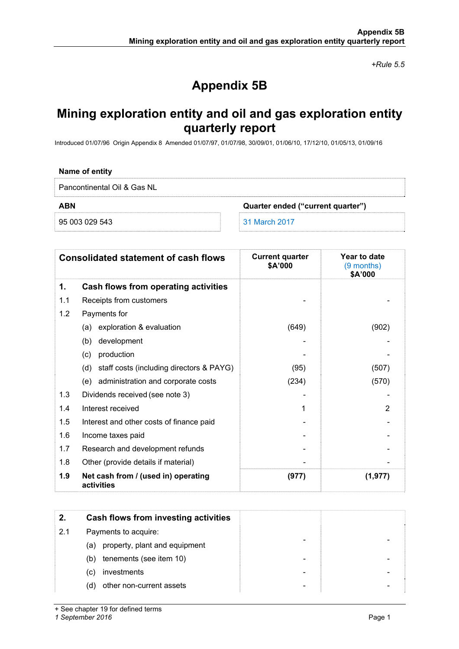*+Rule 5.5* 

# **Appendix 5B**

## **Mining exploration entity and oil and gas exploration entity quarterly report**

Introduced 01/07/96 Origin Appendix 8 Amended 01/07/97, 01/07/98, 30/09/01, 01/06/10, 17/12/10, 01/05/13, 01/09/16

### **Name of entity**

Pancontinental Oil & Gas NL

**ABN Quarter ended ("current quarter")** 

95 003 029 543 31 March 2017

| <b>Consolidated statement of cash flows</b> |                                                   | <b>Current quarter</b><br>\$A'000 | Year to date<br>(9 months)<br>\$A'000 |
|---------------------------------------------|---------------------------------------------------|-----------------------------------|---------------------------------------|
| 1.                                          | Cash flows from operating activities              |                                   |                                       |
| 1.1                                         | Receipts from customers                           |                                   |                                       |
| 1.2                                         | Payments for                                      |                                   |                                       |
|                                             | exploration & evaluation<br>(a)                   | (649)                             | (902)                                 |
|                                             | development<br>(b)                                |                                   |                                       |
|                                             | production<br>(c)                                 |                                   |                                       |
|                                             | staff costs (including directors & PAYG)<br>(d)   | (95)                              | (507)                                 |
|                                             | administration and corporate costs<br>(e)         | (234)                             | (570)                                 |
| 1.3                                         | Dividends received (see note 3)                   |                                   |                                       |
| 1.4                                         | Interest received                                 | 1                                 | $\mathcal{P}$                         |
| 1.5                                         | Interest and other costs of finance paid          |                                   |                                       |
| 1.6                                         | Income taxes paid                                 |                                   |                                       |
| 1.7                                         | Research and development refunds                  |                                   |                                       |
| 1.8                                         | Other (provide details if material)               |                                   |                                       |
| 1.9                                         | Net cash from / (used in) operating<br>activities | (977)                             | (1, 977)                              |

| 2.  | Cash flows from investing activities |
|-----|--------------------------------------|
| 2.1 | Payments to acquire:                 |
| (a) | property, plant and equipment        |
| (b) | tenements (see item 10)              |
| (C) | investments                          |
| (d) | other non-current assets             |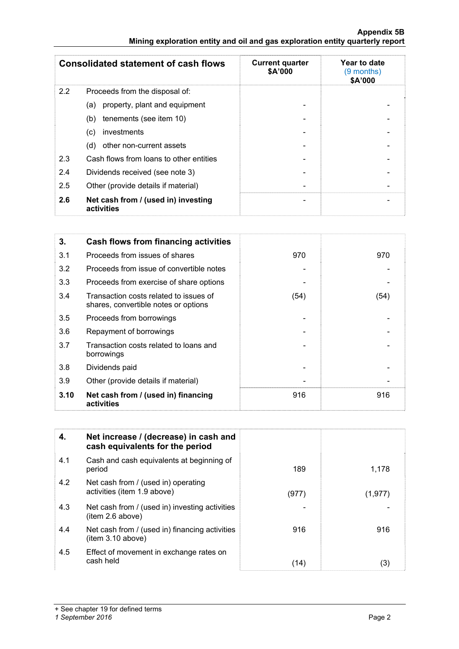### **Appendix 5B Mining exploration entity and oil and gas exploration entity quarterly report**

| <b>Consolidated statement of cash flows</b> |                                                   | <b>Current quarter</b><br>\$A'000 | Year to date<br>(9 months)<br>\$A'000 |
|---------------------------------------------|---------------------------------------------------|-----------------------------------|---------------------------------------|
| 2.2                                         | Proceeds from the disposal of:                    |                                   |                                       |
|                                             | property, plant and equipment<br>(a)              |                                   |                                       |
|                                             | tenements (see item 10)<br>(b)                    |                                   |                                       |
|                                             | investments<br>(c)                                |                                   |                                       |
|                                             | other non-current assets<br>(d)                   |                                   |                                       |
| 2.3                                         | Cash flows from loans to other entities           |                                   |                                       |
| 2.4                                         | Dividends received (see note 3)                   |                                   |                                       |
| 2.5                                         | Other (provide details if material)               |                                   |                                       |
| 2.6                                         | Net cash from / (used in) investing<br>activities | $\overline{\phantom{0}}$          |                                       |

| 3.   | Cash flows from financing activities                                           |      |      |
|------|--------------------------------------------------------------------------------|------|------|
| 3.1  | Proceeds from issues of shares                                                 | 970  | 970  |
| 3.2  | Proceeds from issue of convertible notes                                       |      |      |
| 3.3  | Proceeds from exercise of share options                                        |      |      |
| 3.4  | Transaction costs related to issues of<br>shares, convertible notes or options | (54) | (54) |
| 3.5  | Proceeds from borrowings                                                       |      |      |
| 3.6  | Repayment of borrowings                                                        |      |      |
| 3.7  | Transaction costs related to loans and<br>borrowings                           |      |      |
| 3.8  | Dividends paid                                                                 |      |      |
| 3.9  | Other (provide details if material)                                            |      |      |
| 3.10 | Net cash from / (used in) financing<br>activities                              | 916  | 916  |

| 4.  | Net increase / (decrease) in cash and<br>cash equivalents for the period |       |          |
|-----|--------------------------------------------------------------------------|-------|----------|
| 4.1 | Cash and cash equivalents at beginning of<br>period                      | 189   | 1,178    |
| 4.2 | Net cash from / (used in) operating<br>activities (item 1.9 above)       | (977) | (1, 977) |
| 4.3 | Net cash from / (used in) investing activities<br>item 2.6 above)        |       |          |
| 4.4 | Net cash from / (used in) financing activities<br>item 3.10 above)       | 916   | 916      |
| 4.5 | Effect of movement in exchange rates on<br>cash held                     | (14)  | (3)      |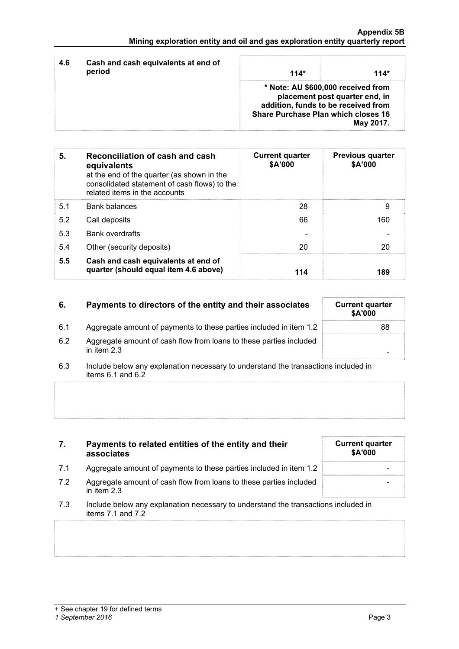| 4.6<br>period | Cash and cash equivalents at end of | $114*$                                                                                                                                             | $114*$    |
|---------------|-------------------------------------|----------------------------------------------------------------------------------------------------------------------------------------------------|-----------|
|               |                                     | * Note: AU \$600,000 received from<br>placement post quarter end, in<br>addition, funds to be received from<br>Share Purchase Plan which closes 16 | May 2017. |

| 5.  | Reconciliation of cash and cash<br>equivalents<br>at the end of the quarter (as shown in the<br>consolidated statement of cash flows) to the<br>related items in the accounts | <b>Current quarter</b><br>\$A'000 | <b>Previous quarter</b><br>\$A'000 |
|-----|-------------------------------------------------------------------------------------------------------------------------------------------------------------------------------|-----------------------------------|------------------------------------|
| 5.1 | <b>Bank balances</b>                                                                                                                                                          | 28                                | 9                                  |
| 5.2 | Call deposits                                                                                                                                                                 | 66                                | 160                                |
| 5.3 | <b>Bank overdrafts</b>                                                                                                                                                        |                                   |                                    |
| 5.4 | Other (security deposits)                                                                                                                                                     | 20                                | 20                                 |
| 5.5 | Cash and cash equivalents at end of<br>quarter (should equal item 4.6 above)                                                                                                  | 114                               | 189                                |

| 6.  | Payments to directors of the entity and their associates                            | <b>Current quarter</b><br><b>\$A'000</b> |
|-----|-------------------------------------------------------------------------------------|------------------------------------------|
| 6.1 | Aggregate amount of payments to these parties included in item 1.2                  | 88                                       |
| 6.2 | Aggregate amount of cash flow from loans to these parties included<br>in item $2.3$ |                                          |

6.3 Include below any explanation necessary to understand the transactions included in items 6.1 and 6.2

| 7.  | Payments to related entities of the entity and their<br>associates                                      | <b>Current quarter</b><br>\$A'000 |
|-----|---------------------------------------------------------------------------------------------------------|-----------------------------------|
| 7.1 | Aggregate amount of payments to these parties included in item 1.2                                      |                                   |
| 7.2 | Aggregate amount of cash flow from loans to these parties included<br>in item 2.3                       |                                   |
| 7.3 | Include below any explanation necessary to understand the transactions included in<br>items 7.1 and 7.2 |                                   |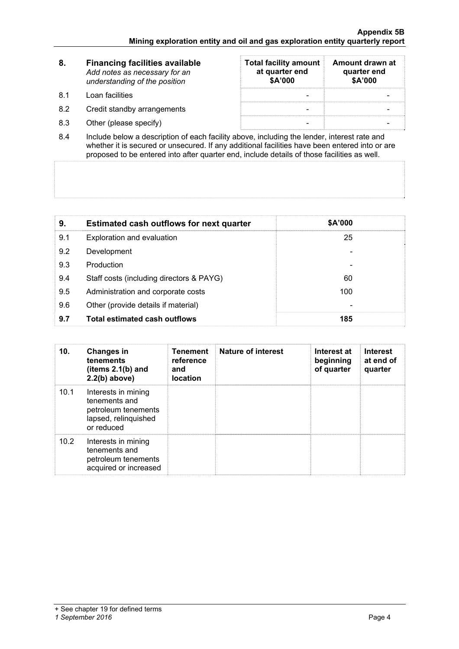| -8. | <b>Financing facilities available</b><br>Add notes as necessary for an<br>understanding of the position | <b>Total facility amount</b><br>at quarter end<br>\$A'000 | Amount drawn at<br>quarter end<br>\$A'000 |
|-----|---------------------------------------------------------------------------------------------------------|-----------------------------------------------------------|-------------------------------------------|
| 81  | Loan facilities                                                                                         |                                                           |                                           |
| 8.2 | Credit standby arrangements                                                                             |                                                           |                                           |
| 8.3 | Other (please specify)                                                                                  |                                                           |                                           |

8.4 Include below a description of each facility above, including the lender, interest rate and whether it is secured or unsecured. If any additional facilities have been entered into or are proposed to be entered into after quarter end, include details of those facilities as well.

| 9.  | <b>Estimated cash outflows for next quarter</b> | \$A'000 |  |
|-----|-------------------------------------------------|---------|--|
| 9.1 | Exploration and evaluation                      | 25      |  |
| 9.2 | Development                                     |         |  |
| 9.3 | Production                                      |         |  |
| 9.4 | Staff costs (including directors & PAYG)        | 60      |  |
| 9.5 | Administration and corporate costs              | 100     |  |
| 9.6 | Other (provide details if material)             |         |  |
| 9.7 | <b>Total estimated cash outflows</b>            | 185     |  |

| 10.  | <b>Changes in</b><br>tenements<br>(items $2.1(b)$ and<br>$2.2(b)$ above)                          | <b>Tenement</b><br>reference<br>and<br><b>location</b> | Nature of interest | Interest at<br>beginning<br>of quarter | <b>Interest</b><br>at end of<br>quarter |
|------|---------------------------------------------------------------------------------------------------|--------------------------------------------------------|--------------------|----------------------------------------|-----------------------------------------|
| 10.1 | Interests in mining<br>tenements and<br>petroleum tenements<br>lapsed, relinquished<br>or reduced |                                                        |                    |                                        |                                         |
| 10.2 | Interests in mining<br>tenements and<br>petroleum tenements<br>acquired or increased              |                                                        |                    |                                        |                                         |